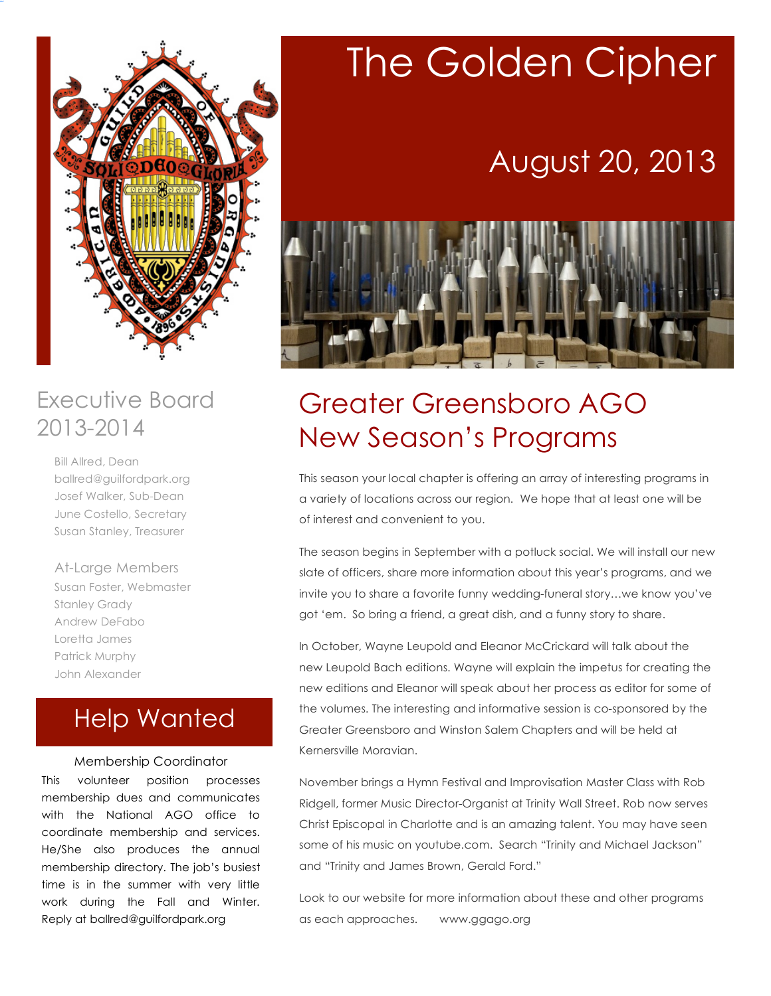

### Executive Board 2013-2014

Bill Allred, Dean ballred@guilfordpark.org Josef Walker, Sub-Dean June Costello, Secretary Susan Stanley, Treasurer

At-Large Members Susan Foster, Webmaster Stanley Grady Andrew DeFabo Loretta James Patrick Murphy John Alexander

### Help Wanted

#### Membership Coordinator

This volunteer position processes membership dues and communicates with the National AGO office to coordinate membership and services. He/She also produces the annual membership directory. The job's busiest time is in the summer with very little work during the Fall and Winter. Reply at ballred@guilfordpark.org

# The Golden Cipher

## August 20, 2013



## Greater Greensboro AGO New Season's Programs

This season your local chapter is offering an array of interesting programs in a variety of locations across our region. We hope that at least one will be of interest and convenient to you.

The season begins in September with a potluck social. We will install our new slate of officers, share more information about this year's programs, and we invite you to share a favorite funny wedding-funeral story…we know you've got 'em. So bring a friend, a great dish, and a funny story to share.

In October, Wayne Leupold and Eleanor McCrickard will talk about the new Leupold Bach editions. Wayne will explain the impetus for creating the new editions and Eleanor will speak about her process as editor for some of the volumes. The interesting and informative session is co-sponsored by the Greater Greensboro and Winston Salem Chapters and will be held at Kernersville Moravian.

November brings a Hymn Festival and Improvisation Master Class with Rob Ridgell, former Music Director-Organist at Trinity Wall Street. Rob now serves Christ Episcopal in Charlotte and is an amazing talent. You may have seen some of his music on youtube.com. Search "Trinity and Michael Jackson" and "Trinity and James Brown, Gerald Ford."

Look to our website for more information about these and other programs as each approaches. www.ggago.org